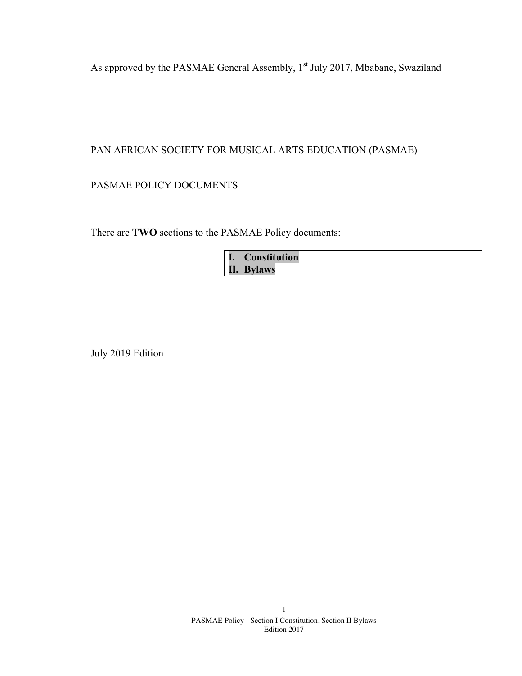As approved by the PASMAE General Assembly, 1<sup>st</sup> July 2017, Mbabane, Swaziland

## PAN AFRICAN SOCIETY FOR MUSICAL ARTS EDUCATION (PASMAE)

PASMAE POLICY DOCUMENTS

There are **TWO** sections to the PASMAE Policy documents:

| I. Constitution |
|-----------------|
| II. Bylaws      |

July 2019 Edition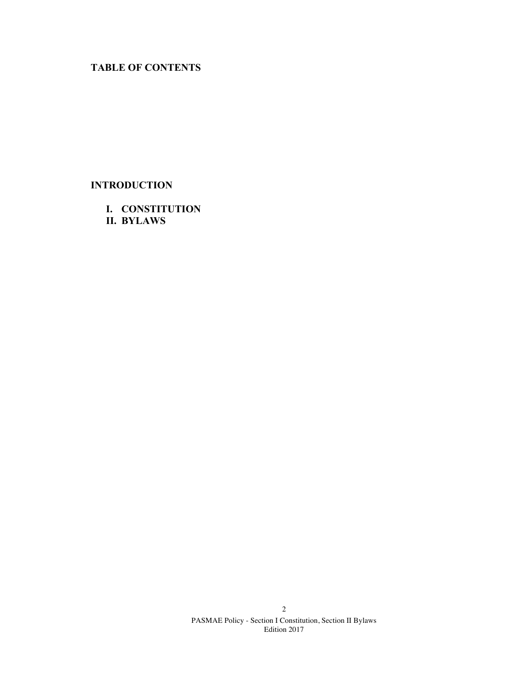# **TABLE OF CONTENTS**

# **INTRODUCTION**

**I. CONSTITUTION II. BYLAWS**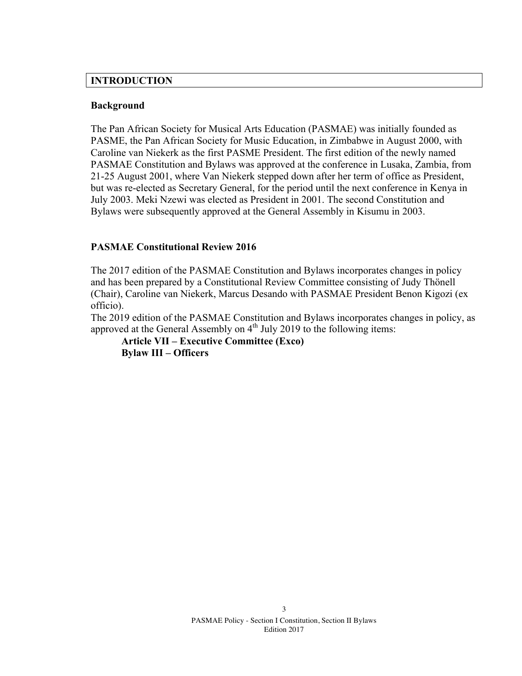### **INTRODUCTION**

### **Background**

The Pan African Society for Musical Arts Education (PASMAE) was initially founded as PASME, the Pan African Society for Music Education, in Zimbabwe in August 2000, with Caroline van Niekerk as the first PASME President. The first edition of the newly named PASMAE Constitution and Bylaws was approved at the conference in Lusaka, Zambia, from 21-25 August 2001, where Van Niekerk stepped down after her term of office as President, but was re-elected as Secretary General, for the period until the next conference in Kenya in July 2003. Meki Nzewi was elected as President in 2001. The second Constitution and Bylaws were subsequently approved at the General Assembly in Kisumu in 2003.

## **PASMAE Constitutional Review 2016**

The 2017 edition of the PASMAE Constitution and Bylaws incorporates changes in policy and has been prepared by a Constitutional Review Committee consisting of Judy Thönell (Chair), Caroline van Niekerk, Marcus Desando with PASMAE President Benon Kigozi (ex officio).

The 2019 edition of the PASMAE Constitution and Bylaws incorporates changes in policy, as approved at the General Assembly on  $4<sup>th</sup>$  July 2019 to the following items:

**Article VII – Executive Committee (Exco) Bylaw III – Officers**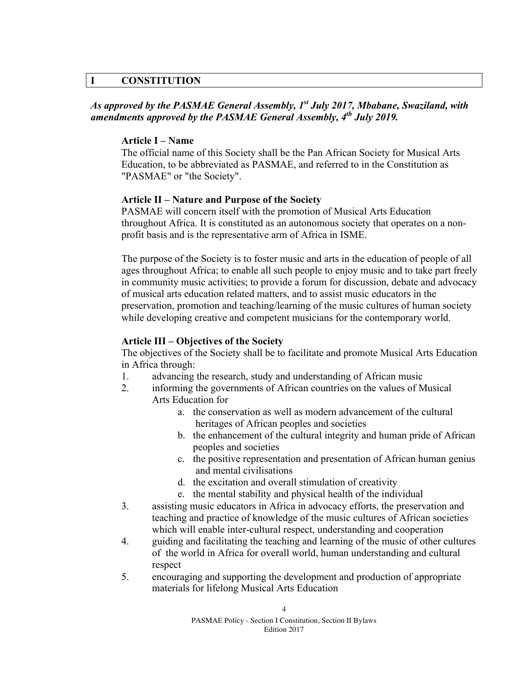## **I CONSTITUTION**

## *As approved by the PASMAE General Assembly, 1st July 2017, Mbabane, Swaziland, with amendments approved by the PASMAE General Assembly, 4th July 2019.*

### **Article I – Name**

The official name of this Society shall be the Pan African Society for Musical Arts Education, to be abbreviated as PASMAE, and referred to in the Constitution as "PASMAE" or "the Society".

### **Article II – Nature and Purpose of the Society**

PASMAE will concern itself with the promotion of Musical Arts Education throughout Africa. It is constituted as an autonomous society that operates on a nonprofit basis and is the representative arm of Africa in ISME.

The purpose of the Society is to foster music and arts in the education of people of all ages throughout Africa; to enable all such people to enjoy music and to take part freely in community music activities; to provide a forum for discussion, debate and advocacy of musical arts education related matters, and to assist music educators in the preservation, promotion and teaching/learning of the music cultures of human society while developing creative and competent musicians for the contemporary world.

### **Article III – Objectives of the Society**

The objectives of the Society shall be to facilitate and promote Musical Arts Education in Africa through:

- 1. advancing the research, study and understanding of African music
- 2. informing the governments of African countries on the values of Musical Arts Education for
	- a. the conservation as well as modern advancement of the cultural heritages of African peoples and societies
	- b. the enhancement of the cultural integrity and human pride of African peoples and societies
	- c. the positive representation and presentation of African human genius and mental civilisations
	- d. the excitation and overall stimulation of creativity
	- e. the mental stability and physical health of the individual
- 3. assisting music educators in Africa in advocacy efforts, the preservation and teaching and practice of knowledge of the music cultures of African societies which will enable inter-cultural respect, understanding and cooperation
- 4. guiding and facilitating the teaching and learning of the music of other cultures of the world in Africa for overall world, human understanding and cultural respect
- 5. encouraging and supporting the development and production of appropriate materials for lifelong Musical Arts Education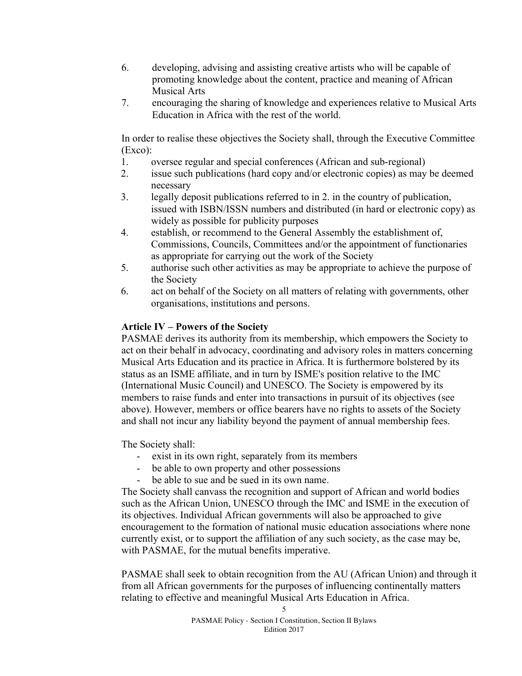- 6. developing, advising and assisting creative artists who will be capable of promoting knowledge about the content, practice and meaning of African Musical Arts
- 7. encouraging the sharing of knowledge and experiences relative to Musical Arts Education in Africa with the rest of the world.

In order to realise these objectives the Society shall, through the Executive Committee (Exco):

- 1. oversee regular and special conferences (African and sub-regional)
- 2. issue such publications (hard copy and/or electronic copies) as may be deemed necessary
- 3. legally deposit publications referred to in 2. in the country of publication, issued with ISBN/ISSN numbers and distributed (in hard or electronic copy) as widely as possible for publicity purposes
- 4. establish, or recommend to the General Assembly the establishment of, Commissions, Councils, Committees and/or the appointment of functionaries as appropriate for carrying out the work of the Society
- 5. authorise such other activities as may be appropriate to achieve the purpose of the Society
- 6. act on behalf of the Society on all matters of relating with governments, other organisations, institutions and persons.

## **Article IV – Powers of the Society**

PASMAE derives its authority from its membership, which empowers the Society to act on their behalf in advocacy, coordinating and advisory roles in matters concerning Musical Arts Education and its practice in Africa. It is furthermore bolstered by its status as an ISME affiliate, and in turn by ISME's position relative to the IMC (International Music Council) and UNESCO. The Society is empowered by its members to raise funds and enter into transactions in pursuit of its objectives (see above). However, members or office bearers have no rights to assets of the Society and shall not incur any liability beyond the payment of annual membership fees.

The Society shall:

- exist in its own right, separately from its members
- be able to own property and other possessions
- be able to sue and be sued in its own name.

The Society shall canvass the recognition and support of African and world bodies such as the African Union, UNESCO through the IMC and ISME in the execution of its objectives. Individual African governments will also be approached to give encouragement to the formation of national music education associations where none currently exist, or to support the affiliation of any such society, as the case may be, with PASMAE, for the mutual benefits imperative.

PASMAE shall seek to obtain recognition from the AU (African Union) and through it from all African governments for the purposes of influencing continentally matters relating to effective and meaningful Musical Arts Education in Africa.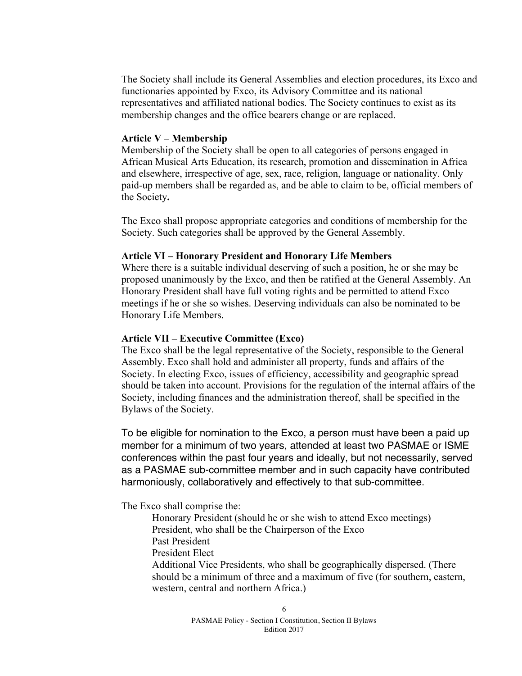The Society shall include its General Assemblies and election procedures, its Exco and functionaries appointed by Exco, its Advisory Committee and its national representatives and affiliated national bodies. The Society continues to exist as its membership changes and the office bearers change or are replaced.

#### **Article V – Membership**

Membership of the Society shall be open to all categories of persons engaged in African Musical Arts Education, its research, promotion and dissemination in Africa and elsewhere, irrespective of age, sex, race, religion, language or nationality. Only paid-up members shall be regarded as, and be able to claim to be, official members of the Society**.**

The Exco shall propose appropriate categories and conditions of membership for the Society. Such categories shall be approved by the General Assembly.

### **Article VI – Honorary President and Honorary Life Members**

Where there is a suitable individual deserving of such a position, he or she may be proposed unanimously by the Exco, and then be ratified at the General Assembly. An Honorary President shall have full voting rights and be permitted to attend Exco meetings if he or she so wishes. Deserving individuals can also be nominated to be Honorary Life Members.

### **Article VII – Executive Committee (Exco)**

The Exco shall be the legal representative of the Society, responsible to the General Assembly. Exco shall hold and administer all property, funds and affairs of the Society. In electing Exco, issues of efficiency, accessibility and geographic spread should be taken into account. Provisions for the regulation of the internal affairs of the Society, including finances and the administration thereof, shall be specified in the Bylaws of the Society.

To be eligible for nomination to the Exco, a person must have been a paid up member for a minimum of two years, attended at least two PASMAE or ISME conferences within the past four years and ideally, but not necessarily, served as a PASMAE sub-committee member and in such capacity have contributed harmoniously, collaboratively and effectively to that sub-committee.

The Exco shall comprise the:

Honorary President (should he or she wish to attend Exco meetings) President, who shall be the Chairperson of the Exco Past President President Elect Additional Vice Presidents, who shall be geographically dispersed. (There should be a minimum of three and a maximum of five (for southern, eastern, western, central and northern Africa.)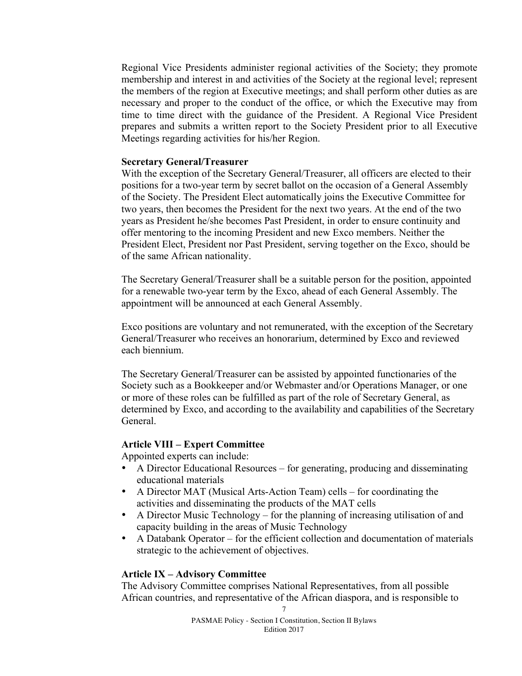Regional Vice Presidents administer regional activities of the Society; they promote membership and interest in and activities of the Society at the regional level; represent the members of the region at Executive meetings; and shall perform other duties as are necessary and proper to the conduct of the office, or which the Executive may from time to time direct with the guidance of the President. A Regional Vice President prepares and submits a written report to the Society President prior to all Executive Meetings regarding activities for his/her Region.

#### **Secretary General/Treasurer**

With the exception of the Secretary General/Treasurer, all officers are elected to their positions for a two-year term by secret ballot on the occasion of a General Assembly of the Society. The President Elect automatically joins the Executive Committee for two years, then becomes the President for the next two years. At the end of the two years as President he/she becomes Past President, in order to ensure continuity and offer mentoring to the incoming President and new Exco members. Neither the President Elect, President nor Past President, serving together on the Exco, should be of the same African nationality.

The Secretary General/Treasurer shall be a suitable person for the position, appointed for a renewable two-year term by the Exco, ahead of each General Assembly. The appointment will be announced at each General Assembly.

Exco positions are voluntary and not remunerated, with the exception of the Secretary General/Treasurer who receives an honorarium, determined by Exco and reviewed each biennium.

The Secretary General/Treasurer can be assisted by appointed functionaries of the Society such as a Bookkeeper and/or Webmaster and/or Operations Manager, or one or more of these roles can be fulfilled as part of the role of Secretary General, as determined by Exco, and according to the availability and capabilities of the Secretary General.

#### **Article VIII – Expert Committee**

Appointed experts can include:

- A Director Educational Resources for generating, producing and disseminating educational materials
- A Director MAT (Musical Arts-Action Team) cells for coordinating the activities and disseminating the products of the MAT cells
- A Director Music Technology for the planning of increasing utilisation of and capacity building in the areas of Music Technology
- A Databank Operator for the efficient collection and documentation of materials strategic to the achievement of objectives.

### **Article IX – Advisory Committee**

The Advisory Committee comprises National Representatives, from all possible African countries, and representative of the African diaspora, and is responsible to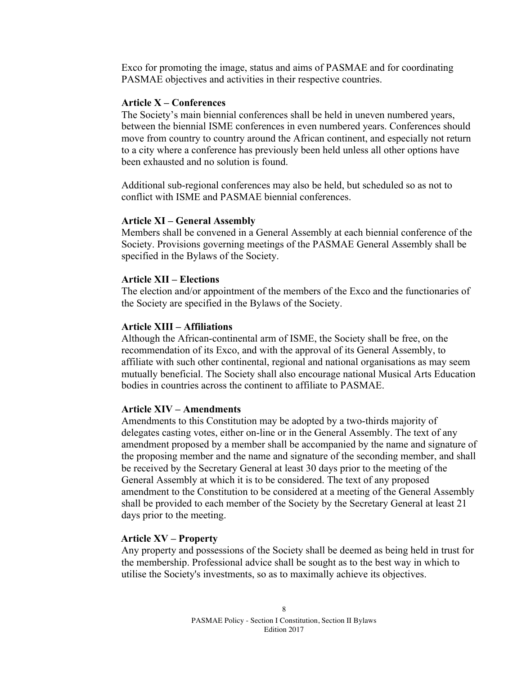Exco for promoting the image, status and aims of PASMAE and for coordinating PASMAE objectives and activities in their respective countries.

#### **Article X – Conferences**

The Society's main biennial conferences shall be held in uneven numbered years, between the biennial ISME conferences in even numbered years. Conferences should move from country to country around the African continent, and especially not return to a city where a conference has previously been held unless all other options have been exhausted and no solution is found.

Additional sub-regional conferences may also be held, but scheduled so as not to conflict with ISME and PASMAE biennial conferences.

#### **Article XI – General Assembly**

Members shall be convened in a General Assembly at each biennial conference of the Society. Provisions governing meetings of the PASMAE General Assembly shall be specified in the Bylaws of the Society.

#### **Article XII – Elections**

The election and/or appointment of the members of the Exco and the functionaries of the Society are specified in the Bylaws of the Society.

#### **Article XIII – Affiliations**

Although the African-continental arm of ISME, the Society shall be free, on the recommendation of its Exco, and with the approval of its General Assembly, to affiliate with such other continental, regional and national organisations as may seem mutually beneficial. The Society shall also encourage national Musical Arts Education bodies in countries across the continent to affiliate to PASMAE.

## **Article XIV – Amendments**

Amendments to this Constitution may be adopted by a two-thirds majority of delegates casting votes, either on-line or in the General Assembly. The text of any amendment proposed by a member shall be accompanied by the name and signature of the proposing member and the name and signature of the seconding member, and shall be received by the Secretary General at least 30 days prior to the meeting of the General Assembly at which it is to be considered. The text of any proposed amendment to the Constitution to be considered at a meeting of the General Assembly shall be provided to each member of the Society by the Secretary General at least 21 days prior to the meeting.

#### **Article XV – Property**

Any property and possessions of the Society shall be deemed as being held in trust for the membership. Professional advice shall be sought as to the best way in which to utilise the Society's investments, so as to maximally achieve its objectives.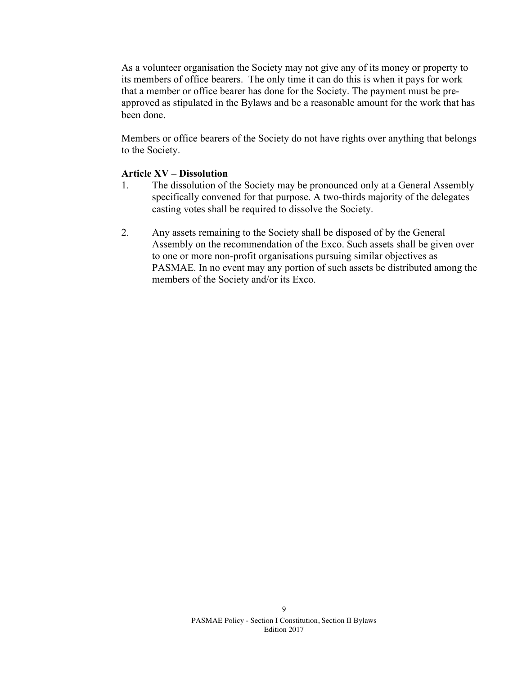As a volunteer organisation the Society may not give any of its money or property to its members of office bearers. The only time it can do this is when it pays for work that a member or office bearer has done for the Society. The payment must be preapproved as stipulated in the Bylaws and be a reasonable amount for the work that has been done.

Members or office bearers of the Society do not have rights over anything that belongs to the Society.

## **Article XV – Dissolution**

- 1. The dissolution of the Society may be pronounced only at a General Assembly specifically convened for that purpose. A two-thirds majority of the delegates casting votes shall be required to dissolve the Society.
- 2. Any assets remaining to the Society shall be disposed of by the General Assembly on the recommendation of the Exco. Such assets shall be given over to one or more non-profit organisations pursuing similar objectives as PASMAE. In no event may any portion of such assets be distributed among the members of the Society and/or its Exco.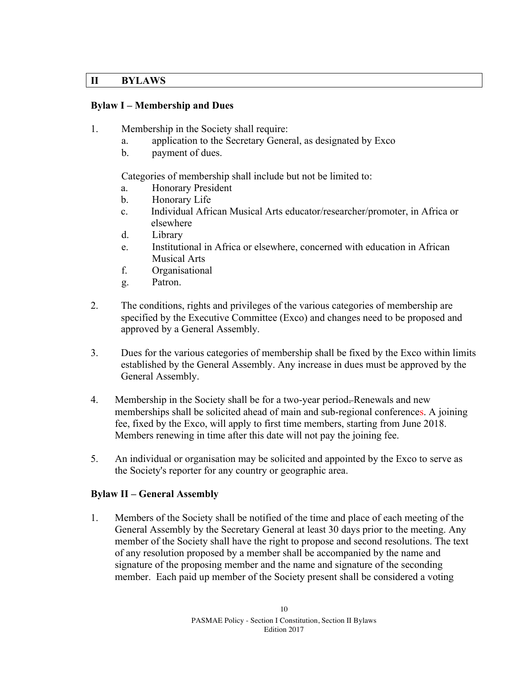## **II BYLAWS**

## **Bylaw I – Membership and Dues**

- 1. Membership in the Society shall require:
	- a. application to the Secretary General, as designated by Exco
	- b. payment of dues.

Categories of membership shall include but not be limited to:

- a. Honorary President
- b. Honorary Life
- c. Individual African Musical Arts educator/researcher/promoter, in Africa or elsewhere
- d. Library
- e. Institutional in Africa or elsewhere, concerned with education in African Musical Arts
- f. Organisational
- g. Patron.
- 2. The conditions, rights and privileges of the various categories of membership are specified by the Executive Committee (Exco) and changes need to be proposed and approved by a General Assembly.
- 3. Dues for the various categories of membership shall be fixed by the Exco within limits established by the General Assembly. Any increase in dues must be approved by the General Assembly.
- 4. Membership in the Society shall be for a two-year period. Renewals and new memberships shall be solicited ahead of main and sub-regional conferences. A joining fee, fixed by the Exco, will apply to first time members, starting from June 2018. Members renewing in time after this date will not pay the joining fee.
- 5. An individual or organisation may be solicited and appointed by the Exco to serve as the Society's reporter for any country or geographic area.

## **Bylaw II – General Assembly**

1. Members of the Society shall be notified of the time and place of each meeting of the General Assembly by the Secretary General at least 30 days prior to the meeting. Any member of the Society shall have the right to propose and second resolutions. The text of any resolution proposed by a member shall be accompanied by the name and signature of the proposing member and the name and signature of the seconding member. Each paid up member of the Society present shall be considered a voting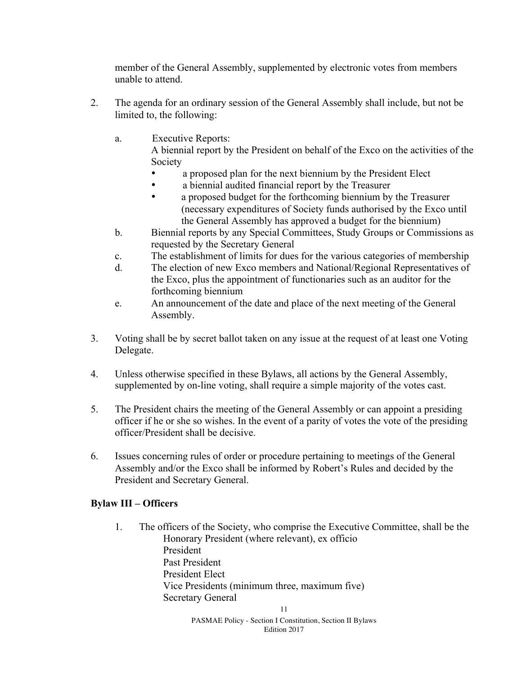member of the General Assembly, supplemented by electronic votes from members unable to attend.

- 2. The agenda for an ordinary session of the General Assembly shall include, but not be limited to, the following:
	- a. Executive Reports:

A biennial report by the President on behalf of the Exco on the activities of the Society

- a proposed plan for the next biennium by the President Elect
- a biennial audited financial report by the Treasurer
- a proposed budget for the forthcoming biennium by the Treasurer (necessary expenditures of Society funds authorised by the Exco until the General Assembly has approved a budget for the biennium)
- b. Biennial reports by any Special Committees, Study Groups or Commissions as requested by the Secretary General
- c. The establishment of limits for dues for the various categories of membership
- d. The election of new Exco members and National/Regional Representatives of the Exco, plus the appointment of functionaries such as an auditor for the forthcoming biennium
- e. An announcement of the date and place of the next meeting of the General Assembly.
- 3. Voting shall be by secret ballot taken on any issue at the request of at least one Voting Delegate.
- 4. Unless otherwise specified in these Bylaws, all actions by the General Assembly, supplemented by on-line voting, shall require a simple majority of the votes cast.
- 5. The President chairs the meeting of the General Assembly or can appoint a presiding officer if he or she so wishes. In the event of a parity of votes the vote of the presiding officer/President shall be decisive.
- 6. Issues concerning rules of order or procedure pertaining to meetings of the General Assembly and/or the Exco shall be informed by Robert's Rules and decided by the President and Secretary General.

# **Bylaw III – Officers**

1. The officers of the Society, who comprise the Executive Committee, shall be the Honorary President (where relevant), ex officio President Past President President Elect Vice Presidents (minimum three, maximum five) Secretary General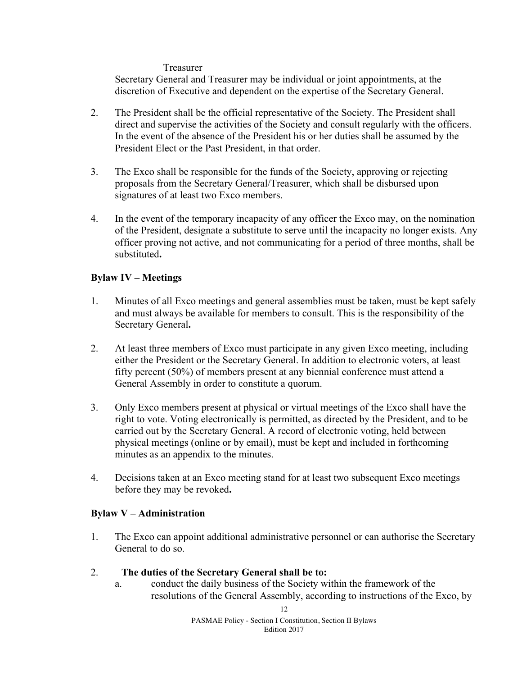### Treasurer

Secretary General and Treasurer may be individual or joint appointments, at the discretion of Executive and dependent on the expertise of the Secretary General.

- 2. The President shall be the official representative of the Society. The President shall direct and supervise the activities of the Society and consult regularly with the officers. In the event of the absence of the President his or her duties shall be assumed by the President Elect or the Past President, in that order.
- 3. The Exco shall be responsible for the funds of the Society, approving or rejecting proposals from the Secretary General/Treasurer, which shall be disbursed upon signatures of at least two Exco members.
- 4. In the event of the temporary incapacity of any officer the Exco may, on the nomination of the President, designate a substitute to serve until the incapacity no longer exists. Any officer proving not active, and not communicating for a period of three months, shall be substituted**.**

## **Bylaw IV – Meetings**

- 1. Minutes of all Exco meetings and general assemblies must be taken, must be kept safely and must always be available for members to consult. This is the responsibility of the Secretary General**.**
- 2. At least three members of Exco must participate in any given Exco meeting, including either the President or the Secretary General. In addition to electronic voters, at least fifty percent (50%) of members present at any biennial conference must attend a General Assembly in order to constitute a quorum.
- 3. Only Exco members present at physical or virtual meetings of the Exco shall have the right to vote. Voting electronically is permitted, as directed by the President, and to be carried out by the Secretary General. A record of electronic voting, held between physical meetings (online or by email), must be kept and included in forthcoming minutes as an appendix to the minutes.
- 4. Decisions taken at an Exco meeting stand for at least two subsequent Exco meetings before they may be revoked**.**

## **Bylaw V – Administration**

- 1. The Exco can appoint additional administrative personnel or can authorise the Secretary General to do so.
- 2. **The duties of the Secretary General shall be to:** 
	- a. conduct the daily business of the Society within the framework of the resolutions of the General Assembly, according to instructions of the Exco, by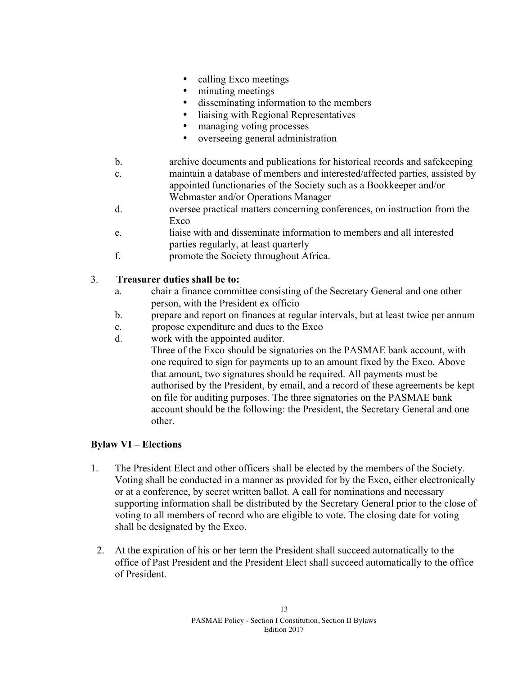- calling Exco meetings
- minuting meetings
- disseminating information to the members
- liaising with Regional Representatives
- managing voting processes
- overseeing general administration
- b. archive documents and publications for historical records and safekeeping
- c. maintain a database of members and interested/affected parties, assisted by appointed functionaries of the Society such as a Bookkeeper and/or Webmaster and/or Operations Manager
- d. oversee practical matters concerning conferences, on instruction from the Exco
- e. liaise with and disseminate information to members and all interested parties regularly, at least quarterly
- f. promote the Society throughout Africa.

## 3. **Treasurer duties shall be to:**

- a. chair a finance committee consisting of the Secretary General and one other person, with the President ex officio
- b. prepare and report on finances at regular intervals, but at least twice per annum
- c. propose expenditure and dues to the Exco
- d. work with the appointed auditor.

Three of the Exco should be signatories on the PASMAE bank account, with one required to sign for payments up to an amount fixed by the Exco. Above that amount, two signatures should be required. All payments must be authorised by the President, by email, and a record of these agreements be kept on file for auditing purposes. The three signatories on the PASMAE bank account should be the following: the President, the Secretary General and one other.

## **Bylaw VI – Elections**

- 1. The President Elect and other officers shall be elected by the members of the Society. Voting shall be conducted in a manner as provided for by the Exco, either electronically or at a conference, by secret written ballot. A call for nominations and necessary supporting information shall be distributed by the Secretary General prior to the close of voting to all members of record who are eligible to vote. The closing date for voting shall be designated by the Exco.
	- 2. At the expiration of his or her term the President shall succeed automatically to the office of Past President and the President Elect shall succeed automatically to the office of President.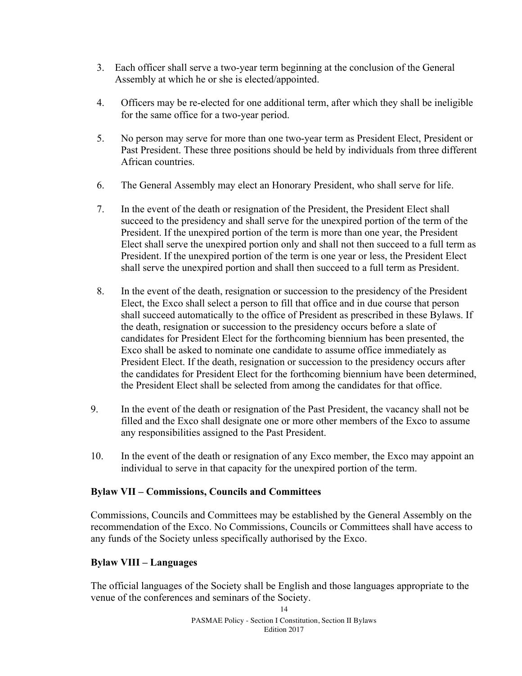- 3. Each officer shall serve a two-year term beginning at the conclusion of the General Assembly at which he or she is elected/appointed.
- 4. Officers may be re-elected for one additional term, after which they shall be ineligible for the same office for a two-year period.
- 5. No person may serve for more than one two-year term as President Elect, President or Past President. These three positions should be held by individuals from three different African countries.
- 6. The General Assembly may elect an Honorary President, who shall serve for life.
- 7. In the event of the death or resignation of the President, the President Elect shall succeed to the presidency and shall serve for the unexpired portion of the term of the President. If the unexpired portion of the term is more than one year, the President Elect shall serve the unexpired portion only and shall not then succeed to a full term as President. If the unexpired portion of the term is one year or less, the President Elect shall serve the unexpired portion and shall then succeed to a full term as President.
- 8. In the event of the death, resignation or succession to the presidency of the President Elect, the Exco shall select a person to fill that office and in due course that person shall succeed automatically to the office of President as prescribed in these Bylaws. If the death, resignation or succession to the presidency occurs before a slate of candidates for President Elect for the forthcoming biennium has been presented, the Exco shall be asked to nominate one candidate to assume office immediately as President Elect. If the death, resignation or succession to the presidency occurs after the candidates for President Elect for the forthcoming biennium have been determined, the President Elect shall be selected from among the candidates for that office.
- 9. In the event of the death or resignation of the Past President, the vacancy shall not be filled and the Exco shall designate one or more other members of the Exco to assume any responsibilities assigned to the Past President.
- 10. In the event of the death or resignation of any Exco member, the Exco may appoint an individual to serve in that capacity for the unexpired portion of the term.

## **Bylaw VII – Commissions, Councils and Committees**

Commissions, Councils and Committees may be established by the General Assembly on the recommendation of the Exco. No Commissions, Councils or Committees shall have access to any funds of the Society unless specifically authorised by the Exco.

## **Bylaw VIII – Languages**

The official languages of the Society shall be English and those languages appropriate to the venue of the conferences and seminars of the Society.